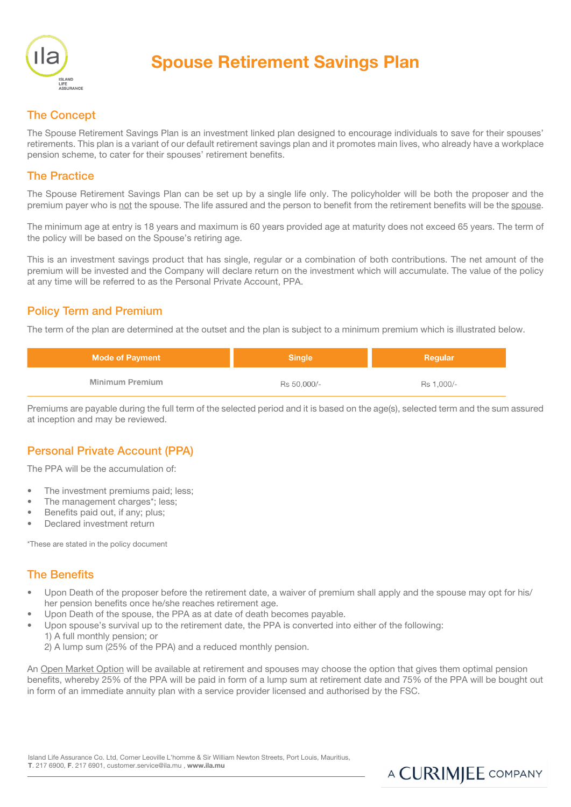

# Spouse Retirement Savings Plan

# The Concept

The Spouse Retirement Savings Plan is an investment linked plan designed to encourage individuals to save for their spouses' retirements. This plan is a variant of our default retirement savings plan and it promotes main lives, who already have a workplace pension scheme, to cater for their spouses' retirement benefits.

#### The Practice

The Spouse Retirement Savings Plan can be set up by a single life only. The policyholder will be both the proposer and the premium payer who is not the spouse. The life assured and the person to benefit from the retirement benefits will be the spouse.

The minimum age at entry is 18 years and maximum is 60 years provided age at maturity does not exceed 65 years. The term of the policy will be based on the Spouse's retiring age.

This is an investment savings product that has single, regular or a combination of both contributions. The net amount of the premium will be invested and the Company will declare return on the investment which will accumulate. The value of the policy at any time will be referred to as the Personal Private Account, PPA.

#### Policy Term and Premium

The term of the plan are determined at the outset and the plan is subject to a minimum premium which is illustrated below.

| <b>Mode of Payment</b> | Sinale      | Regular    |  |
|------------------------|-------------|------------|--|
| Minimum Premium        | Rs 50,000/- | Rs 1.000/- |  |

Premiums are payable during the full term of the selected period and it is based on the age(s), selected term and the sum assured at inception and may be reviewed.

# Personal Private Account (PPA)

The PPA will be the accumulation of:

- The investment premiums paid; less;
- The management charges\*; less;
- Benefits paid out, if any; plus;
- Declared investment return

\*These are stated in the policy document

#### The Benefits

- Upon Death of the proposer before the retirement date, a waiver of premium shall apply and the spouse may opt for his/ her pension benefits once he/she reaches retirement age.
- Upon Death of the spouse, the PPA as at date of death becomes payable.
- Upon spouse's survival up to the retirement date, the PPA is converted into either of the following:
	- 1) A full monthly pension; or
	- 2) A lump sum (25% of the PPA) and a reduced monthly pension.

An Open Market Option will be available at retirement and spouses may choose the option that gives them optimal pension benefits, whereby 25% of the PPA will be paid in form of a lump sum at retirement date and 75% of the PPA will be bought out in form of an immediate annuity plan with a service provider licensed and authorised by the FSC.